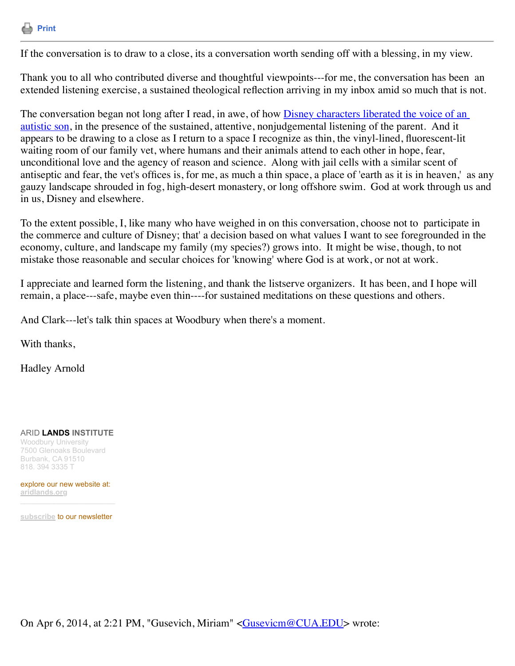

If the conversation is to draw to a close, its a conversation worth sending off with a blessing, in my view.

Thank you to all who contributed diverse and thoughtful viewpoints---for me, the conversation has been an extended listening exercise, a sustained theological reflection arriving in my inbox amid so much that is not.

The conversation began not long after I read, in awe, of how **Disney characters liberated the voice of an** autistic son, in the presence of the sustained, attentive, nonjudgemental listening of the parent. And it appears to be drawing to a close as I return to a space I recognize as thin, the vinyl-lined, fluorescent-lit waiting room of our family vet, where humans and their animals attend to each other in hope, fear, unconditional love and the agency of reason and science. Along with jail cells with a similar scent of antiseptic and fear, the vet's offices is, for me, as much a thin space, a place of 'earth as it is in heaven,' as any gauzy landscape shrouded in fog, high-desert monastery, or long offshore swim. God at work through us and in us, Disney and elsewhere.

To the extent possible, I, like many who have weighed in on this conversation, choose not to participate in the commerce and culture of Disney; that' a decision based on what values I want to see foregrounded in the economy, culture, and landscape my family (my species?) grows into. It might be wise, though, to not mistake those reasonable and secular choices for 'knowing' where God is at work, or not at work.

I appreciate and learned form the listening, and thank the listserve organizers. It has been, and I hope will remain, a place---safe, maybe even thin----for sustained meditations on these questions and others.

And Clark---let's talk thin spaces at Woodbury when there's a moment.

With thanks.

Hadley Arnold

ARID **LANDS INSTITUTE**

Woodbury University 7500 Glenoaks Boulevard Burbank, CA 91510 818. 394 3335 T

explore our new website at: **[aridlands.org](http://aridlands.org/)**

**[subscribe](http://aridlands.org/ali-newsletter)** to our newsletter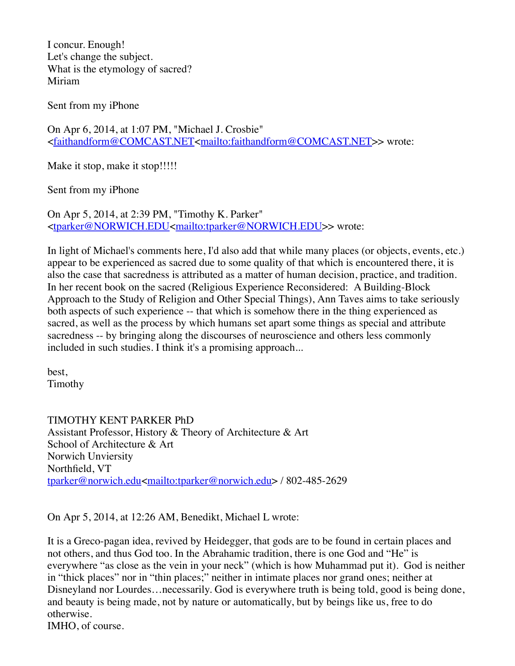I concur. Enough! Let's change the subject. What is the etymology of sacred? Miriam

Sent from my iPhone

On Apr 6, 2014, at 1:07 PM, "Michael J. Crosbie" <[faithandform@COMCAST.NET<mailto:faithandform@COMCAST.NET](mailto:faithandform@COMCAST.NET)>> wrote:

Make it stop, make it stop!!!!!

Sent from my iPhone

On Apr 5, 2014, at 2:39 PM, "Timothy K. Parker" <[tparker@NORWICH.EDU<mailto:tparker@NORWICH.EDU](mailto:tparker@NORWICH.EDU)>> wrote:

In light of Michael's comments here, I'd also add that while many places (or objects, events, etc.) appear to be experienced as sacred due to some quality of that which is encountered there, it is also the case that sacredness is attributed as a matter of human decision, practice, and tradition. In her recent book on the sacred (Religious Experience Reconsidered: A Building-Block Approach to the Study of Religion and Other Special Things), Ann Taves aims to take seriously both aspects of such experience -- that which is somehow there in the thing experienced as sacred, as well as the process by which humans set apart some things as special and attribute sacredness -- by bringing along the discourses of neuroscience and others less commonly included in such studies. I think it's a promising approach...

best, Timothy

TIMOTHY KENT PARKER PhD Assistant Professor, History & Theory of Architecture & Art School of Architecture & Art Norwich Unviersity Northfield, VT [tparker@norwich.edu<mailto:tparker@norwich.edu](mailto:tparker@norwich.edu)> / 802-485-2629

On Apr 5, 2014, at 12:26 AM, Benedikt, Michael L wrote:

It is a Greco-pagan idea, revived by Heidegger, that gods are to be found in certain places and not others, and thus God too. In the Abrahamic tradition, there is one God and "He" is everywhere "as close as the vein in your neck" (which is how Muhammad put it). God is neither in "thick places" nor in "thin places;" neither in intimate places nor grand ones; neither at Disneyland nor Lourdes…necessarily. God is everywhere truth is being told, good is being done, and beauty is being made, not by nature or automatically, but by beings like us, free to do otherwise.

IMHO, of course.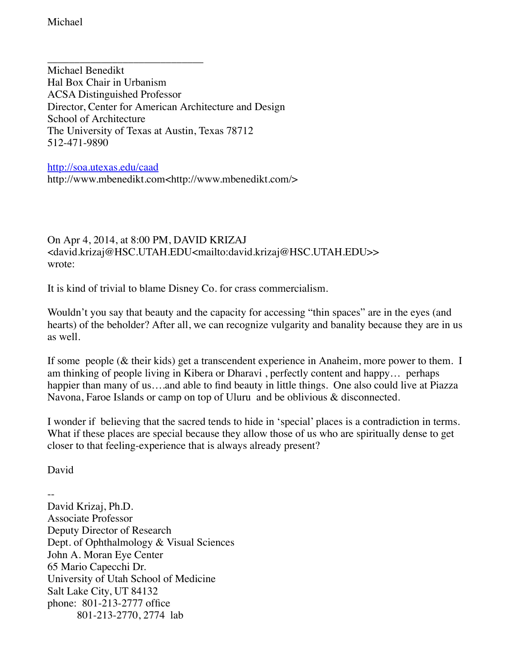Michael

\_\_\_\_\_\_\_\_\_\_\_\_\_\_\_\_\_\_\_\_\_\_\_\_\_\_\_\_\_ Michael Benedikt Hal Box Chair in Urbanism ACSA Distinguished Professor Director, Center for American Architecture and Design School of Architecture The University of Texas at Austin, Texas 78712 512-471-9890

<http://soa.utexas.edu/caad> http://www.mbenedikt.com<http://www.mbenedikt.com/>

## On Apr 4, 2014, at 8:00 PM, DAVID KRIZAJ <david.krizaj@HSC.UTAH.EDU<mailto:david.krizaj@HSC.UTAH.EDU>> wrote:

It is kind of trivial to blame Disney Co. for crass commercialism.

Wouldn't you say that beauty and the capacity for accessing "thin spaces" are in the eyes (and hearts) of the beholder? After all, we can recognize vulgarity and banality because they are in us as well.

If some people (& their kids) get a transcendent experience in Anaheim, more power to them. I am thinking of people living in Kibera or Dharavi , perfectly content and happy… perhaps happier than many of us...and able to find beauty in little things. One also could live at Piazza Navona, Faroe Islands or camp on top of Uluru and be oblivious & disconnected.

I wonder if believing that the sacred tends to hide in 'special' places is a contradiction in terms. What if these places are special because they allow those of us who are spiritually dense to get closer to that feeling-experience that is always already present?

David

--

David Krizaj, Ph.D. Associate Professor Deputy Director of Research Dept. of Ophthalmology & Visual Sciences John A. Moran Eye Center 65 Mario Capecchi Dr. University of Utah School of Medicine Salt Lake City, UT 84132 phone: 801-213-2777 office 801-213-2770, 2774 lab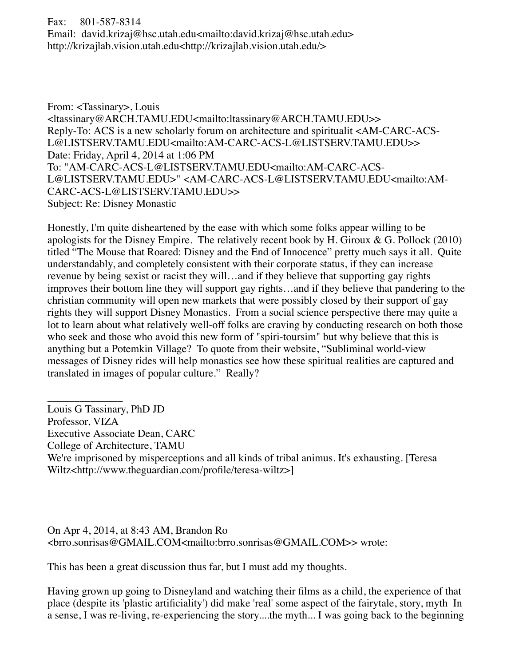Fax: 801-587-8314

Email: david.krizaj@hsc.utah.edu<mailto:david.krizaj@hsc.utah.edu> http://krizajlab.vision.utah.edu<http://krizajlab.vision.utah.edu/>

From: <Tassinary>, Louis <ltassinary@ARCH.TAMU.EDU<mailto:ltassinary@ARCH.TAMU.EDU>> Reply-To: ACS is a new scholarly forum on architecture and spiritualit <AM-CARC-ACS-L@LISTSERV.TAMU.EDU<mailto:AM-CARC-ACS-L@LISTSERV.TAMU.EDU>> Date: Friday, April 4, 2014 at 1:06 PM To: "AM-CARC-ACS-L@LISTSERV.TAMU.EDU<mailto:AM-CARC-ACS-L@LISTSERV.TAMU.EDU>" <AM-CARC-ACS-L@LISTSERV.TAMU.EDU<mailto:AM-CARC-ACS-L@LISTSERV.TAMU.EDU>> Subject: Re: Disney Monastic

Honestly, I'm quite disheartened by the ease with which some folks appear willing to be apologists for the Disney Empire. The relatively recent book by H. Giroux  $\&$  G. Pollock (2010) titled "The Mouse that Roared: Disney and the End of Innocence" pretty much says it all. Quite understandably, and completely consistent with their corporate status, if they can increase revenue by being sexist or racist they will…and if they believe that supporting gay rights improves their bottom line they will support gay rights…and if they believe that pandering to the christian community will open new markets that were possibly closed by their support of gay rights they will support Disney Monastics. From a social science perspective there may quite a lot to learn about what relatively well-off folks are craving by conducting research on both those who seek and those who avoid this new form of "spiri-toursim" but why believe that this is anything but a Potemkin Village? To quote from their website, "Subliminal world-view messages of Disney rides will help monastics see how these spiritual realities are captured and translated in images of popular culture." Really?

\_\_\_\_\_\_\_\_\_\_\_\_\_\_ Louis G Tassinary, PhD JD

- Professor, VIZA
- Executive Associate Dean, CARC
- College of Architecture, TAMU
- We're imprisoned by misperceptions and all kinds of tribal animus. It's exhausting. [Teresa Wiltz<http://www.theguardian.com/profile/teresa-wiltz>]

On Apr 4, 2014, at 8:43 AM, Brandon Ro <brro.sonrisas@GMAIL.COM<mailto:brro.sonrisas@GMAIL.COM>> wrote:

This has been a great discussion thus far, but I must add my thoughts.

Having grown up going to Disneyland and watching their films as a child, the experience of that place (despite its 'plastic artificiality') did make 'real' some aspect of the fairytale, story, myth In a sense, I was re-living, re-experiencing the story....the myth... I was going back to the beginning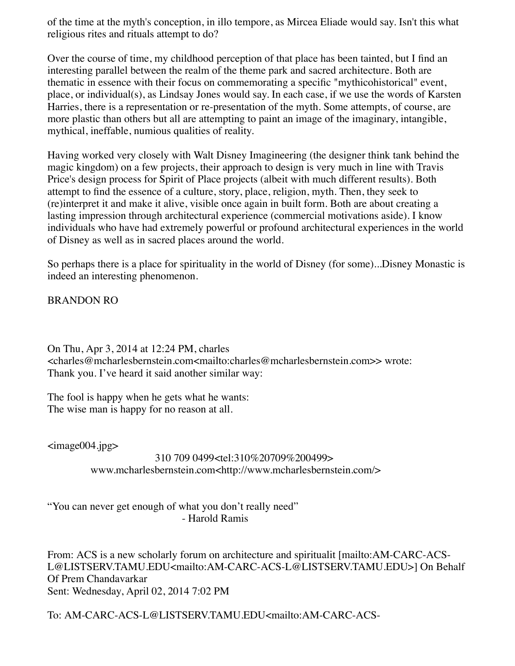of the time at the myth's conception, in illo tempore, as Mircea Eliade would say. Isn't this what religious rites and rituals attempt to do?

Over the course of time, my childhood perception of that place has been tainted, but I find an interesting parallel between the realm of the theme park and sacred architecture. Both are thematic in essence with their focus on commemorating a specific "mythicohistorical" event, place, or individual(s), as Lindsay Jones would say. In each case, if we use the words of Karsten Harries, there is a representation or re-presentation of the myth. Some attempts, of course, are more plastic than others but all are attempting to paint an image of the imaginary, intangible, mythical, ineffable, numious qualities of reality.

Having worked very closely with Walt Disney Imagineering (the designer think tank behind the magic kingdom) on a few projects, their approach to design is very much in line with Travis Price's design process for Spirit of Place projects (albeit with much different results). Both attempt to find the essence of a culture, story, place, religion, myth. Then, they seek to (re)interpret it and make it alive, visible once again in built form. Both are about creating a lasting impression through architectural experience (commercial motivations aside). I know individuals who have had extremely powerful or profound architectural experiences in the world of Disney as well as in sacred places around the world.

So perhaps there is a place for spirituality in the world of Disney (for some)...Disney Monastic is indeed an interesting phenomenon.

BRANDON RO

On Thu, Apr 3, 2014 at 12:24 PM, charles <charles@mcharlesbernstein.com<mailto:charles@mcharlesbernstein.com>> wrote: Thank you. I've heard it said another similar way:

The fool is happy when he gets what he wants: The wise man is happy for no reason at all.

<image004.jpg>

## 310 709 0499<tel:310%20709%200499> www.mcharlesbernstein.com<http://www.mcharlesbernstein.com/>

"You can never get enough of what you don't really need" - Harold Ramis

From: ACS is a new scholarly forum on architecture and spiritualit [mailto:AM-CARC-ACS-L@LISTSERV.TAMU.EDU<mailto:AM-CARC-ACS-L@LISTSERV.TAMU.EDU>] On Behalf Of Prem Chandavarkar Sent: Wednesday, April 02, 2014 7:02 PM

To: AM-CARC-ACS-L@LISTSERV.TAMU.EDU<mailto:AM-CARC-ACS-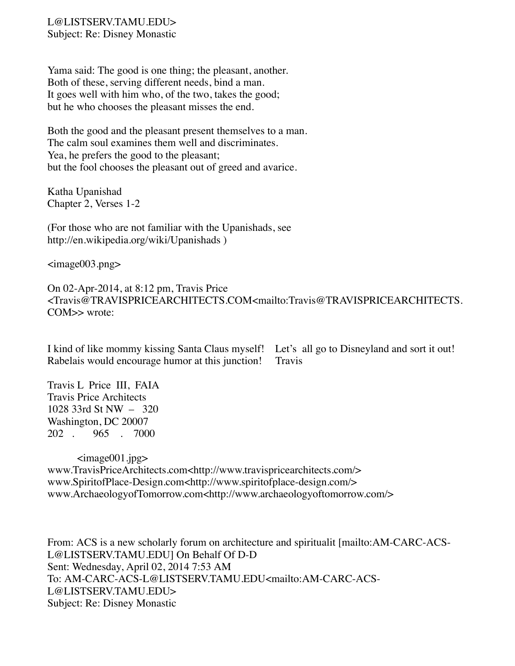## L@LISTSERV.TAMU.EDU> Subject: Re: Disney Monastic

Yama said: The good is one thing; the pleasant, another. Both of these, serving different needs, bind a man. It goes well with him who, of the two, takes the good; but he who chooses the pleasant misses the end.

Both the good and the pleasant present themselves to a man. The calm soul examines them well and discriminates. Yea, he prefers the good to the pleasant; but the fool chooses the pleasant out of greed and avarice.

Katha Upanishad Chapter 2, Verses 1-2

(For those who are not familiar with the Upanishads, see http://en.wikipedia.org/wiki/Upanishads )

<image003.png>

On 02-Apr-2014, at 8:12 pm, Travis Price <Travis@TRAVISPRICEARCHITECTS.COM<mailto:Travis@TRAVISPRICEARCHITECTS. COM >> wrote:

I kind of like mommy kissing Santa Claus myself! Let's all go to Disneyland and sort it out! Rabelais would encourage humor at this junction! Travis

Travis L Price III, FAIA Travis Price Architects 1028 33rd St NW – 320 Washington, DC 20007 202 . 965 . 7000

 <image001.jpg> www.TravisPriceArchitects.com<http://www.travispricearchitects.com/> www.SpiritofPlace-Design.com<http://www.spiritofplace-design.com/> www.ArchaeologyofTomorrow.com<http://www.archaeologyoftomorrow.com/>

From: ACS is a new scholarly forum on architecture and spiritualit [mailto:AM-CARC-ACS-L@LISTSERV.TAMU.EDU] On Behalf Of D-D Sent: Wednesday, April 02, 2014 7:53 AM To: AM-CARC-ACS-L@LISTSERV.TAMU.EDU<mailto:AM-CARC-ACS-L@LISTSERV.TAMU.EDU> Subject: Re: Disney Monastic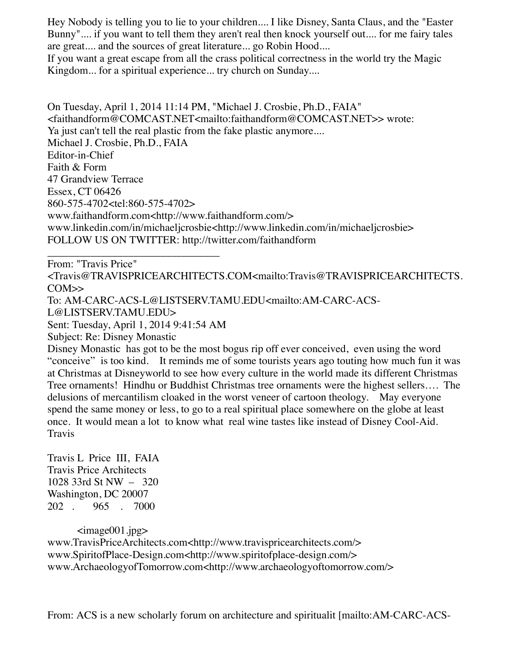Hey Nobody is telling you to lie to your children.... I like Disney, Santa Claus, and the "Easter Bunny".... if you want to tell them they aren't real then knock yourself out.... for me fairy tales are great.... and the sources of great literature... go Robin Hood....

If you want a great escape from all the crass political correctness in the world try the Magic Kingdom... for a spiritual experience... try church on Sunday....

On Tuesday, April 1, 2014 11:14 PM, "Michael J. Crosbie, Ph.D., FAIA" <faithandform@COMCAST.NET<mailto:faithandform@COMCAST.NET>> wrote: Ya just can't tell the real plastic from the fake plastic anymore.... Michael J. Crosbie, Ph.D., FAIA Editor-in-Chief Faith & Form 47 Grandview Terrace Essex, CT 06426 860-575-4702<tel:860-575-4702> www.faithandform.com<http://www.faithandform.com/> www.linkedin.com/in/michaeljcrosbie<http://www.linkedin.com/in/michaeljcrosbie> FOLLOW US ON TWITTER: http://twitter.com/faithandform

From: "Travis Price"

\_\_\_\_\_\_\_\_\_\_\_\_\_\_\_\_\_\_\_\_\_\_\_\_\_\_\_\_\_\_\_\_

<Travis@TRAVISPRICEARCHITECTS.COM<mailto:Travis@TRAVISPRICEARCHITECTS.  $CON \rightarrow$ 

To: AM-CARC-ACS-L@LISTSERV.TAMU.EDU<mailto:AM-CARC-ACS-

L@LISTSERV.TAMU.EDU>

Sent: Tuesday, April 1, 2014 9:41:54 AM

Subject: Re: Disney Monastic

Disney Monastic has got to be the most bogus rip off ever conceived, even using the word "conceive" is too kind. It reminds me of some tourists years ago touting how much fun it was at Christmas at Disneyworld to see how every culture in the world made its different Christmas Tree ornaments! Hindhu or Buddhist Christmas tree ornaments were the highest sellers…. The delusions of mercantilism cloaked in the worst veneer of cartoon theology. May everyone spend the same money or less, to go to a real spiritual place somewhere on the globe at least once. It would mean a lot to know what real wine tastes like instead of Disney Cool-Aid. Travis

Travis L Price III, FAIA Travis Price Architects 1028 33rd St NW – 320 Washington, DC 20007 202 . 965 . 7000

 $\langle \text{image} 001 \text{.jpg} \rangle$ www.TravisPriceArchitects.com<http://www.travispricearchitects.com/> www.SpiritofPlace-Design.com<http://www.spiritofplace-design.com/> www.ArchaeologyofTomorrow.com<http://www.archaeologyoftomorrow.com/>

From: ACS is a new scholarly forum on architecture and spiritualit [mailto:AM-CARC-ACS-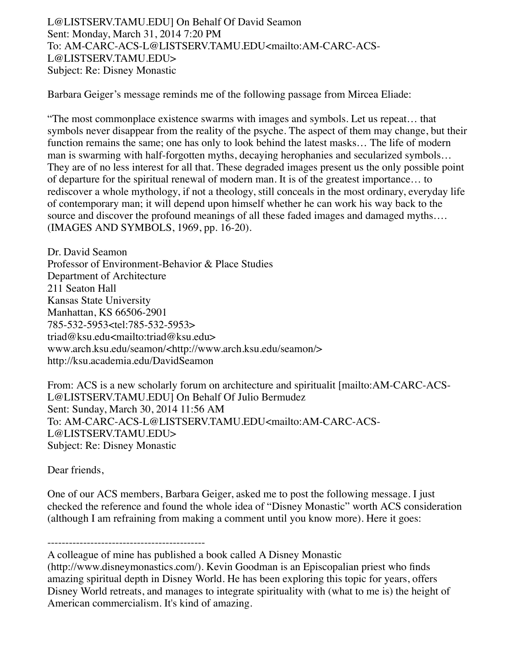L@LISTSERV.TAMU.EDU] On Behalf Of David Seamon Sent: Monday, March 31, 2014 7:20 PM To: AM-CARC-ACS-L@LISTSERV.TAMU.EDU<mailto:AM-CARC-ACS-L@LISTSERV.TAMU.EDU> Subject: Re: Disney Monastic

Barbara Geiger's message reminds me of the following passage from Mircea Eliade:

"The most commonplace existence swarms with images and symbols. Let us repeat… that symbols never disappear from the reality of the psyche. The aspect of them may change, but their function remains the same; one has only to look behind the latest masks… The life of modern man is swarming with half-forgotten myths, decaying herophanies and secularized symbols… They are of no less interest for all that. These degraded images present us the only possible point of departure for the spiritual renewal of modern man. It is of the greatest importance… to rediscover a whole mythology, if not a theology, still conceals in the most ordinary, everyday life of contemporary man; it will depend upon himself whether he can work his way back to the source and discover the profound meanings of all these faded images and damaged myths.... (IMAGES AND SYMBOLS, 1969, pp. 16-20).

Dr. David Seamon Professor of Environment-Behavior & Place Studies Department of Architecture 211 Seaton Hall Kansas State University Manhattan, KS 66506-2901 785-532-5953<tel:785-532-5953> triad@ksu.edu<mailto:triad@ksu.edu> www.arch.ksu.edu/seamon/<http://www.arch.ksu.edu/seamon/> http://ksu.academia.edu/DavidSeamon

From: ACS is a new scholarly forum on architecture and spiritualit [mailto:AM-CARC-ACS-L@LISTSERV.TAMU.EDU] On Behalf Of Julio Bermudez Sent: Sunday, March 30, 2014 11:56 AM To: AM-CARC-ACS-L@LISTSERV.TAMU.EDU<mailto:AM-CARC-ACS-L@LISTSERV.TAMU.EDU> Subject: Re: Disney Monastic

Dear friends,

One of our ACS members, Barbara Geiger, asked me to post the following message. I just checked the reference and found the whole idea of "Disney Monastic" worth ACS consideration (although I am refraining from making a comment until you know more). Here it goes:

-------------------------------------------- A colleague of mine has published a book called A Disney Monastic

(http://www.disneymonastics.com/). Kevin Goodman is an Episcopalian priest who finds amazing spiritual depth in Disney World. He has been exploring this topic for years, offers Disney World retreats, and manages to integrate spirituality with (what to me is) the height of American commercialism. It's kind of amazing.